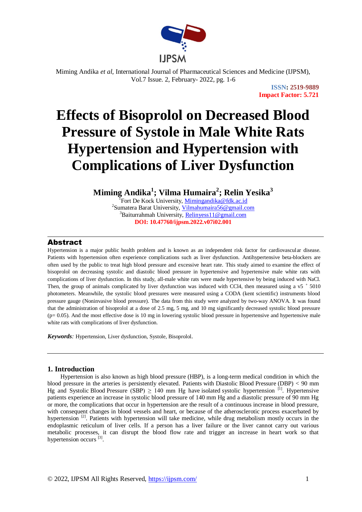

# **Effects of Bisoprolol on Decreased Blood Pressure of Systole in Male White Rats Hypertension and Hypertension with Complications of Liver Dysfunction**

**Miming Andika<sup>1</sup> ; Vilma Humaira<sup>2</sup> ; Relin Yesika<sup>3</sup>**

<sup>T</sup>Fort De Kock University, [Mimingandika@fdk.ac.id](mailto:Mimingandika@fdk.ac.id) <sup>2</sup>Sumatera Barat University, *Vilmahumaira56@gmail.com* <sup>3</sup>Baiturrahmah University, **Relinyess**11@gmail.com **DOI: 10.47760/ijpsm.2022.v07i02.001**

# Abstract

Hypertension is a major public health problem and is known as an independent risk factor for cardiovascular disease. Patients with hypertension often experience complications such as liver dysfunction. Antihypertensive beta-blockers are often used by the public to treat high blood pressure and excessive heart rate. This study aimed to examine the effect of bisoprolol on decreasing systolic and diastolic blood pressure in hypertensive and hypertensive male white rats with complications of liver dysfunction. In this study, all-male white rats were made hypertensive by being induced with NaCl. Then, the group of animals complicated by liver dysfunction was induced with CCl4, then measured using a  $v5 + 5010$ photometers. Meanwhile, the systolic blood pressures were measured using a CODA (kent scientific) instruments blood pressure gauge (Noninvasive blood pressure). The data from this study were analyzed by two-way ANOVA. It was found that the administration of bisoprolol at a dose of 2.5 mg, 5 mg, and 10 mg significantly decreased systolic blood pressure  $(p= 0.05)$ . And the most effective dose is 10 mg in lowering systolic blood pressure in hypertensive and hypertensive male white rats with complications of liver dysfunction.

*Keywords:* Hypertension, Liver dysfunction, Systole, Bisoprolol.

# **1. Introduction**

Hypertension is also known as high blood pressure (HBP), is a long-term medical condition in which the blood pressure in the arteries is persistently elevated. [Patients](https://www.babla.co.id/kamus/bahasa-inggris-bahasa-indonesia/patient) [with](https://www.babla.co.id/kamus/bahasa-inggris-bahasa-indonesia/with) Diastolic [Blood](https://www.babla.co.id/kamus/bahasa-inggris-bahasa-indonesia/blood) [Pressure](https://www.babla.co.id/kamus/bahasa-inggris-bahasa-indonesia/pressure) (DBP) < 90 mm Hg and Systolic [Blood](https://www.babla.co.id/kamus/bahasa-inggris-bahasa-indonesia/blood) [Pressure](https://www.babla.co.id/kamus/bahasa-inggris-bahasa-indonesia/pressure) (SBP)  $\geq$  140 mm Hg [have](https://www.babla.co.id/kamus/bahasa-inggris-bahasa-indonesia/have) [isolated](https://www.babla.co.id/kamus/bahasa-inggris-bahasa-indonesia/isolate) systolic hypertension <sup>[1]</sup>. Hypertensive patients experience an increase in systolic blood pressure of 140 mm Hg and a diastolic pressure of 90 mm Hg or more, the complications that occur in hypertension are the result of a continuous increase in blood pressure, with consequent changes in blood vessels and heart, or because of the atherosclerotic process exacerbated by hypertension<sup>[2]</sup>. Patients with hypertension will take medicine, while drug metabolism mostly occurs in the endoplasmic reticulum of liver cells. If a person has a liver failure or the liver cannot carry out various metabolic processes, it can disrupt the blood flow rate and trigger an increase in heart work so that hypertension occurs<sup>[3]</sup>.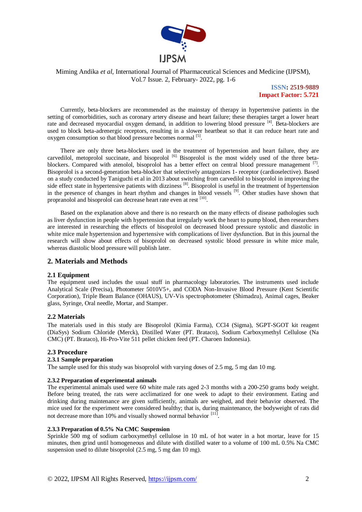

**ISSN: 2519-9889 Impact Factor: 5.721**

Currently, beta-blockers are recommended as the mainstay of therapy in hypertensive patients in the setting of comorbidities, such as coronary artery disease and heart failure; these therapies target a lower heart rate and decreased myocardial oxygen demand, in addition to lowering blood pressure [4]. Beta-blockers are used to block beta-adrenergic receptors, resulting in a slower heartbeat so that it can reduce heart rate and oxygen consumption so that blood pressure becomes normal <sup>[5]</sup>.

There are only three beta-blockers used in the treatment of hypertension and heart failure, they are carvedilol, metoprolol succinate, and bisoprolol <sup>[6].</sup> Bisoprolol is the most widely used of the three betablockers. Compared with atenolol, bisoprolol has a better effect on central blood pressure management <sup>[7]</sup>. Bisoprolol is a second-generation beta-blocker that selectively antagonizes 1- receptor (cardioselective). Based on a study conducted by Taniguchi et al in 2013 about switching from carvedilol to bisoprolol in improving the side effect state in hypertensive patients with dizziness<sup>[8]</sup>. Bisoprolol is useful in the treatment of hypertension in the presence of changes in heart rhythm and changes in blood vessels [9]. Other studies have shown that propranolol and bisoprolol can decrease heart rate even at rest [10].

Based on the explanation above and there is no research on the many effects of disease pathologies such as liver dysfunction in people with hypertension that irregularly work the heart to pump blood, then researchers are interested in researching the effects of bisoprolol on decreased blood pressure systolic and diastolic in white mice male hypertension and hypertensive with complications of liver dysfunction. But in this journal the research will show about effects of bisoprolol on decreased systolic blood pressure in white mice male, whereas diastolic blood pressure will publish later.

# **2. Materials and Methods**

#### **2.1 Equipment**

The equipment used includes the usual stuff in pharmacology laboratories. The instruments used include Analytical Scale (Precisa), Photometer 5010V5+, and CODA Non-Invasive Blood Pressure (Kent Scientific Corporation), Triple Beam Balance (OHAUS), UV-Vis spectrophotometer (Shimadzu), Animal cages, Beaker glass, Syringe, Oral needle, Mortar, and Stamper.

#### **2.2 Materials**

The materials used in this study are Bisoprolol (Kimia Farma), CCl4 (Sigma), SGPT-SGOT kit reagent (DiaSys) Sodium Chloride (Merck), Distilled Water (PT. Brataco), Sodium Carboxymethyl Cellulose (Na CMC) (PT. Brataco), Hi-Pro-Vite 511 pellet chicken feed (PT. Charoen Indonesia).

# **2.3 Procedure**

#### **2.3.1 Sample preparation**

The sample used for this study was bisoprolol with varying doses of 2.5 mg, 5 mg dan 10 mg.

#### **2.3.2 Preparation of experimental animals**

The experimental animals used were 60 white male rats aged 2-3 months with a 200-250 grams body weight. Before being treated, the rats were acclimatized for one week to adapt to their environment. Eating and drinking during maintenance are given sufficiently, animals are weighed, and their behavior observed. The mice used for the experiment were considered healthy; that is, during maintenance, the bodyweight of rats did not decrease more than 10% and visually showed normal behavior [11].

#### **2.3.3 Preparation of 0.5% Na CMC Suspension**

Sprinkle 500 mg of sodium carboxymethyl cellulose in 10 mL of hot water in a hot mortar, leave for 15 minutes, then grind until homogeneous and dilute with distilled water to a volume of 100 mL 0.5% Na CMC suspension used to dilute bisoprolol (2.5 mg, 5 mg dan 10 mg).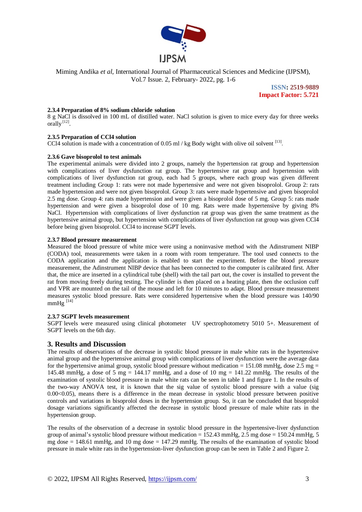

> **ISSN: 2519-9889 Impact Factor: 5.721**

#### **2.3.4 Preparation of 8% sodium chloride solution**

8 g NaCl is dissolved in 100 mL of distilled water. NaCl solution is given to mice every day for three weeks orally $^{[12]}$ .

#### **2.3.5 Preparation of CCl4 solution**

CCl4 [solution](https://www.babla.co.id/kamus/bahasa-inggris-bahasa-indonesia/solution) [is](https://www.babla.co.id/kamus/bahasa-inggris-bahasa-indonesia/is) [made](https://www.babla.co.id/kamus/bahasa-inggris-bahasa-indonesia/made) [with](https://www.babla.co.id/kamus/bahasa-inggris-bahasa-indonesia/with) [a](https://www.babla.co.id/kamus/bahasa-inggris-bahasa-indonesia/a-m) [concentration](https://www.babla.co.id/kamus/bahasa-inggris-bahasa-indonesia/concentrate) [of](https://www.babla.co.id/kamus/bahasa-inggris-bahasa-indonesia/of) 0.05 ml / kg Body wight with [olive](https://www.babla.co.id/kamus/bahasa-inggris-bahasa-indonesia/olive) [oil](https://www.babla.co.id/kamus/bahasa-inggris-bahasa-indonesia/oil) solvent [13].

#### **2.3.6 Gave bisoprolol [to](https://www.babla.co.id/kamus/bahasa-inggris-bahasa-indonesia/to) [test](https://www.babla.co.id/kamus/bahasa-inggris-bahasa-indonesia/test) [animals](https://www.babla.co.id/kamus/bahasa-inggris-bahasa-indonesia/animal)**

The experimental animals were divided into 2 groups, namely the hypertension rat group and hypertension with complications of liver dysfunction rat group. The hypertensive rat group and hypertension with complications of liver dysfunction rat group, each had 5 groups, where each group was given different treatment including Group 1: rats were not made hypertensive and were not given bisoprolol. Group 2: rats made hypertension and were not given bisoprolol. Group 3: rats were made hypertensive and given bisoprolol 2.5 mg dose. Group 4: rats made hypertension and were given a bisoprolol dose of 5 mg. Group 5: rats made hypertension and were given a bisoprolol dose of 10 mg. Rats were made hypertensive by giving 8% NaCl. Hypertension with complications of liver dysfunction rat group was given the same treatment as the hypertensive animal group, but hypertension with complications of liver dysfunction rat group was given CCl4 before being given bisoprolol. CCl4 to increase SGPT levels.

#### **2.3.7 Blood pressure measurement**

Measured the blood pressure of white mice were using a noninvasive method with the Adinstrument NIBP (CODA) tool, measurements were taken in a room with room temperature. The tool used connects to the CODA application and the application is enabled to start the experiment. Before the blood pressure measurement, the Adinstrument NIBP device that has been connected to the computer is calibrated first. After that, the mice are inserted in a cylindrical tube (shell) with the tail part out, the cover is installed to prevent the rat from moving freely during testing. The cylinder is then placed on a heating plate, then the occlusion cuff and VPR are mounted on the tail of the mouse and left for 10 minutes to adapt. Blood pressure measurement measures systolic blood pressure. Rats were considered hypertensive when the blood pressure was 140/90  $mmHg$ <sup>[14]</sup>

#### **2.3.7 SGPT [levels](https://www.babla.co.id/kamus/bahasa-inggris-bahasa-indonesia/leveller) measurement**

SGPT levels were measured using clinical photometer UV spectrophotometry 5010 5+. Measurement of SGPT levels on the 6th day.

#### **3. Results and Discussion**

The results of observations of the decrease in systolic blood pressure in male white rats in the hypertensive animal group and the hypertensive animal group with complications of liver dysfunction were the average data for the hypertensive animal group, systolic blood pressure without medication =  $151.08$  mmHg, dose  $2.5$  mg = 145.48 mmHg, a dose of 5 mg = 144.17 mmHg, and a dose of 10 mg = 141.22 mmHg. The results of the examination of systolic blood pressure in male white rats can be seen in table 1 and figure 1. In the results of the two-way ANOVA test, it is known that the sig value of systolic blood pressure with a value (sig  $0.00<0.05$ ), means there is a difference in the mean decrease in systolic blood pressure between positive controls and variations in bisoprolol doses in the hypertension group. So, it can be concluded that bisoprolol dosage variations significantly affected the decrease in systolic blood pressure of male white rats in the hypertension group.

The results of the observation of a decrease in systolic blood pressure in the hypertensive-liver dysfunction group of animal's systolic blood pressure without medication =  $152.43$  mmHg,  $2.5$  mg dose =  $150.24$  mmHg,  $5$ mg dose  $= 148.61$  mmHg, and 10 mg dose  $= 147.29$  mmHg. The results of the examination of systolic blood pressure in male white rats in the hypertension-liver dysfunction group can be seen in Table 2 and Figure 2.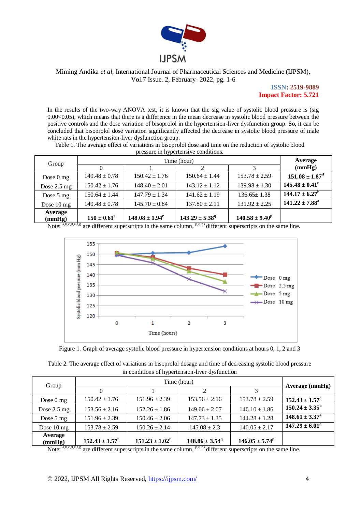

> **ISSN: 2519-9889 Impact Factor: 5.721**

In the results of the two-way ANOVA test, it is known that the sig value of systolic blood pressure is (sig 0.00<0.05), which means that there is a difference in the mean decrease in systolic blood pressure between the positive controls and the dose variation of bisoprolol in the hypertension-liver dysfunction group. So, it can be concluded that bisoprolol dose variation significantly affected the decrease in systolic blood pressure of male white rats in the hypertension-liver dysfunction group.

Table 1. The average effect of variations in bisoprolol dose and time on the reduction of systolic blood pressure in hypertensive conditions.

| pressure in hypertensive conditions. |                   |                     |                           |                     |                                |  |  |  |  |
|--------------------------------------|-------------------|---------------------|---------------------------|---------------------|--------------------------------|--|--|--|--|
| Group                                |                   | Average             |                           |                     |                                |  |  |  |  |
|                                      |                   |                     |                           | 3                   | (mmHg)                         |  |  |  |  |
| Dose $0$ mg                          | $149.48 \pm 0.78$ | $150.42 \pm 1.76$   | $150.64 \pm 1.44$         | $153.78 \pm 2.59$   | $151.08 \pm 1.87$ <sup>d</sup> |  |  |  |  |
| Dose $2.5 \text{ mg}$                | $150.42 \pm 1.76$ | $148.40 \pm 2.01$   | $143.12 \pm 1.12$         | $139.98 \pm 1.30$   | $145.48 \pm 0.41^{\circ}$      |  |  |  |  |
| Dose $5 \text{ mg}$                  | $150.64 \pm 1.44$ | $147.79 \pm 1.34$   | $141.62 \pm 1.19$         | $136.65 \pm 1.38$   | $144.17 \pm 6.27^{\rm b}$      |  |  |  |  |
| Dose $10 \text{ mg}$                 | $149.48 \pm 0.78$ | $145.70 \pm 0.84$   | $137.80 \pm 2.11$         | $131.92 \pm 2.25$   | $141.22 \pm 7.88^a$            |  |  |  |  |
| Average<br>(mmHg)                    | $150 \pm 0.61^s$  | $148.08 \pm 1.94^r$ | $143.29 \pm 5.38^{\circ}$ | $140.58 \pm 9.40^p$ |                                |  |  |  |  |

Note:  $a,b,c,d,e,f,g$  are different superscripts in the same column,  $P,q,r,s$  different superscripts on the same line.



Figure 1. Graph of average systolic blood pressure in hypertension conditions at hours 0, 1, 2 and 3

| Table 2. The average effect of variations in bisoprolol dosage and time of decreasing systolic blood pressure |  |  |  |  |  |  |  |
|---------------------------------------------------------------------------------------------------------------|--|--|--|--|--|--|--|
| in conditions of hypertension-liver dysfunction                                                               |  |  |  |  |  |  |  |
|                                                                                                               |  |  |  |  |  |  |  |

| Group                 |                           |                     |                                |                     |                           |
|-----------------------|---------------------------|---------------------|--------------------------------|---------------------|---------------------------|
|                       |                           |                     |                                |                     | Average (mmHg)            |
| Dose $0 \text{ mg}$   | $150.42 \pm 1.76$         | $151.96 \pm 2.39$   | $153.56 \pm 2.16$              | $153.78 \pm 2.59$   | $152.43 \pm 1.57^c$       |
| Dose $2.5 \text{ mg}$ | $153.56 \pm 2.16$         | $152.26 \pm 1.86$   | $149.06 \pm 2.07$              | $146.10 \pm 1.86$   | $150.24 \pm 3.35^{\rm b}$ |
| Dose $5 \text{ mg}$   | $151.96 \pm 2.39$         | $150.46 \pm 2.06$   | $147.73 \pm 1.35$              | $144.28 \pm 1.28$   | $148.61 \pm 3.37^{\circ}$ |
| Dose $10 \text{ mg}$  | $153.78 \pm 2.59$         | $150.26 \pm 2.14$   | $145.08 \pm 2.3$               | $140.05 \pm 2.17$   | $147.29 \pm 6.01^a$       |
| Average<br>(mmHg)     | $152.43 \pm 1.57^{\circ}$ | $151.23 \pm 1.02^r$ | $148.86 \pm 3.54$ <sup>q</sup> | $146.05 \pm 5.74^p$ |                           |

Note:  $a,b,c,d,e,f,g$  are different superscripts in the same column,  $p,q,r,s$  different superscripts on the same line.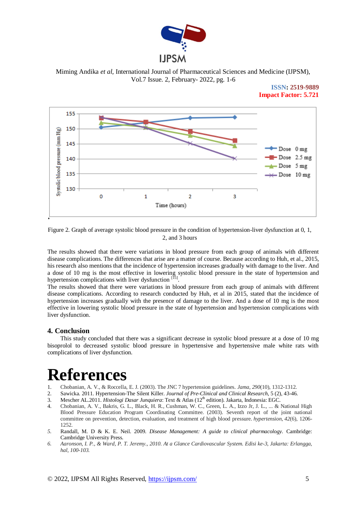

Miming Andika *et al*, International Journal of Pharmaceutical Sciences and Medicine (IJPSM), Vol.7 Issue. 2, February- 2022, pg. 1-6

### **ISSN: 2519-9889 Impact Factor: 5.721**



Figure 2. Graph of average systolic blood pressure in the condition of hypertension-liver dysfunction at 0, 1, 2, and 3 hours

The results showed that there were variations in blood pressure from each group of animals with different disease complications. The differences that arise are a matter of course. Because according to Huh, et al., 2015, his research also mentions that the incidence of hypertension increases gradually with damage to the liver. And a dose of 10 mg is the most effective in lowering systolic blood pressure in the state of hypertension and hypertension complications with liver dysfunction [15].

The results showed that there were variations in blood pressure from each group of animals with different disease complications. According to research conducted by Huh, et al in 2015, stated that the incidence of hypertension increases gradually with the presence of damage to the liver. And a dose of 10 mg is the most effective in lowering systolic blood pressure in the state of hypertension and hypertension complications with liver dysfunction.

# **4. Conclusion**

This study concluded that there was a significant decrease in systolic blood pressure at a dose of 10 mg bisoprolol to decreased systolic blood pressure in hypertensive and hypertensive male white rats with complications of liver dysfunction.

# **References**

- 1. Chobanian, A. V., & Roccella, E. J. (2003). The JNC 7 hypertension guidelines. *Jama*, *290*(10), 1312-1312.
- 2. Sawicka. 2011. Hypertension-The Silent Killer. *Journal of Pre-Clinical and Clinical Research*, 5 (2), 43-46.
- 3. Mescher AL.2011. *Histologi Dasar Junquiera*: Text & Atlas (12<sup>th</sup> edition). Jakarta, Indonesia: EGC.
- 4. Chobanian, A. V., Bakris, G. L., Black, H. R., Cushman, W. C., Green, L. A., Izzo Jr, J. L., ... & National High Blood Pressure Education Program Coordinating Committee. (2003). Seventh report of the joint national committee on prevention, detection, evaluation, and treatment of high blood pressure. *hypertension*, *42*(6), 1206- 1252
- *5.* Randall, M. D & K. E. Neil. 2009. *Disease Management: A guide to clinical pharmacology.* Cambridge: Cambridge University Press.
- *6. Aaronson, I. P., & Ward, P. T. Jeremy., 2010. At a Glance Cardiovascular System. Edisi ke-3, Jakarta: Erlangga, hal, 100-103.*